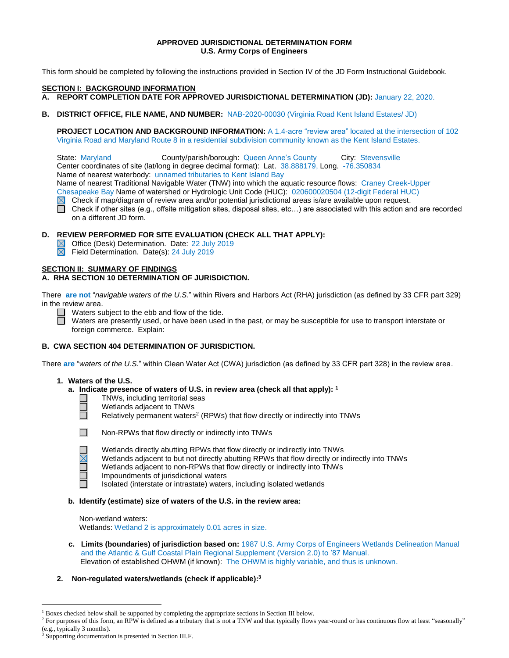# **APPROVED JURISDICTIONAL DETERMINATION FORM U.S. Army Corps of Engineers**

This form should be completed by following the instructions provided in Section IV of the JD Form Instructional Guidebook.

#### **SECTION I: BACKGROUND INFORMATION**

- **A. REPORT COMPLETION DATE FOR APPROVED JURISDICTIONAL DETERMINATION (JD):** January 22, 2020.
- **B. DISTRICT OFFICE, FILE NAME, AND NUMBER:** NAB-2020-00030 (Virginia Road Kent Island Estates/ JD)

**PROJECT LOCATION AND BACKGROUND INFORMATION:** A 1.4-acre "review area" located at the intersection of 102 Virginia Road and Maryland Route 8 in a residential subdivision community known as the Kent Island Estates.

State: Maryland County/parish/borough: Queen Anne's County City: Stevensville Center coordinates of site (lat/long in degree decimal format): Lat. 38.888179, Long. -76.350834 Name of nearest waterbody: unnamed tributaries to Kent Island Bay

Name of nearest Traditional Navigable Water (TNW) into which the aquatic resource flows: Craney Creek-Upper

Chesapeake Bay Name of watershed or Hydrologic Unit Code (HUC): 020600020504 (12-digit Federal HUC)

- $\boxtimes$  Check if map/diagram of review area and/or potential jurisdictional areas is/are available upon request.
- Check if other sites (e.g., offsite mitigation sites, disposal sites, etc…) are associated with this action and are recorded on a different JD form.

# **D. REVIEW PERFORMED FOR SITE EVALUATION (CHECK ALL THAT APPLY):**

- Office (Desk) Determination. Date: 22 July 2019
- Field Determination. Date(s): 24 July 2019

#### **SECTION II: SUMMARY OF FINDINGS**

# **A. RHA SECTION 10 DETERMINATION OF JURISDICTION.**

There **are not** "*navigable waters of the U.S.*" within Rivers and Harbors Act (RHA) jurisdiction (as defined by 33 CFR part 329) in the review area.

 $\Box$  Waters subject to the ebb and flow of the tide.

Waters are presently used, or have been used in the past, or may be susceptible for use to transport interstate or foreign commerce. Explain:

# **B. CWA SECTION 404 DETERMINATION OF JURISDICTION.**

There **are** "*waters of the U.S.*" within Clean Water Act (CWA) jurisdiction (as defined by 33 CFR part 328) in the review area.

#### **1. Waters of the U.S.**

- **a. Indicate presence of waters of U.S. in review area (check all that apply): 1**
	- TNWs, including territorial seas
	- Wetlands adjacent to TNWs
	- Relatively permanent waters<sup>2</sup> (RPWs) that flow directly or indirectly into TNWs



П

**COL**  $\Box$ П

 $\overline{a}$ 

Non-RPWs that flow directly or indirectly into TNWs

- Wetlands directly abutting RPWs that flow directly or indirectly into TNWs
- Wetlands adjacent to but not directly abutting RPWs that flow directly or indirectly into TNWs
- Wetlands adjacent to non-RPWs that flow directly or indirectly into TNWs
- Impoundments of jurisdictional waters

Isolated (interstate or intrastate) waters, including isolated wetlands

#### **b. Identify (estimate) size of waters of the U.S. in the review area:**

Non-wetland waters: Wetlands: Wetland 2 is approximately 0.01 acres in size.

 **c. Limits (boundaries) of jurisdiction based on:** 1987 U.S. Army Corps of Engineers Wetlands Delineation Manual and the Atlantic & Gulf Coastal Plain Regional Supplement (Version 2.0) to '87 Manual. Elevation of established OHWM (if known): The OHWM is highly variable, and thus is unknown.

# **2. Non-regulated waters/wetlands (check if applicable): 3**

<sup>&</sup>lt;sup>1</sup> Boxes checked below shall be supported by completing the appropriate sections in Section III below.

<sup>&</sup>lt;sup>2</sup> For purposes of this form, an RPW is defined as a tributary that is not a TNW and that typically flows year-round or has continuous flow at least "seasonally" (e.g., typically 3 months).

<sup>&</sup>lt;sup>3</sup> Supporting documentation is presented in Section III.F.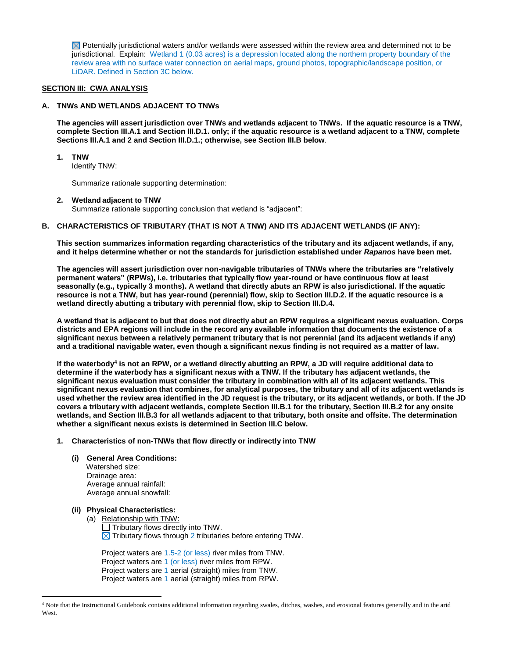$\boxtimes$  Potentially jurisdictional waters and/or wetlands were assessed within the review area and determined not to be jurisdictional. Explain: Wetland 1 (0.03 acres) is a depression located along the northern property boundary of the review area with no surface water connection on aerial maps, ground photos, topographic/landscape position, or LiDAR. Defined in Section 3C below.

#### **SECTION III: CWA ANALYSIS**

# **A. TNWs AND WETLANDS ADJACENT TO TNWs**

**The agencies will assert jurisdiction over TNWs and wetlands adjacent to TNWs. If the aquatic resource is a TNW, complete Section III.A.1 and Section III.D.1. only; if the aquatic resource is a wetland adjacent to a TNW, complete Sections III.A.1 and 2 and Section III.D.1.; otherwise, see Section III.B below**.

**1. TNW** 

Identify TNW:

Summarize rationale supporting determination:

#### **2. Wetland adjacent to TNW**

Summarize rationale supporting conclusion that wetland is "adjacent":

#### **B. CHARACTERISTICS OF TRIBUTARY (THAT IS NOT A TNW) AND ITS ADJACENT WETLANDS (IF ANY):**

**This section summarizes information regarding characteristics of the tributary and its adjacent wetlands, if any, and it helps determine whether or not the standards for jurisdiction established under** *Rapanos* **have been met.** 

**The agencies will assert jurisdiction over non-navigable tributaries of TNWs where the tributaries are "relatively permanent waters" (RPWs), i.e. tributaries that typically flow year-round or have continuous flow at least seasonally (e.g., typically 3 months). A wetland that directly abuts an RPW is also jurisdictional. If the aquatic resource is not a TNW, but has year-round (perennial) flow, skip to Section III.D.2. If the aquatic resource is a wetland directly abutting a tributary with perennial flow, skip to Section III.D.4.** 

**A wetland that is adjacent to but that does not directly abut an RPW requires a significant nexus evaluation. Corps districts and EPA regions will include in the record any available information that documents the existence of a significant nexus between a relatively permanent tributary that is not perennial (and its adjacent wetlands if any) and a traditional navigable water, even though a significant nexus finding is not required as a matter of law.**

**If the waterbody<sup>4</sup> is not an RPW, or a wetland directly abutting an RPW, a JD will require additional data to determine if the waterbody has a significant nexus with a TNW. If the tributary has adjacent wetlands, the significant nexus evaluation must consider the tributary in combination with all of its adjacent wetlands. This significant nexus evaluation that combines, for analytical purposes, the tributary and all of its adjacent wetlands is used whether the review area identified in the JD request is the tributary, or its adjacent wetlands, or both. If the JD covers a tributary with adjacent wetlands, complete Section III.B.1 for the tributary, Section III.B.2 for any onsite wetlands, and Section III.B.3 for all wetlands adjacent to that tributary, both onsite and offsite. The determination whether a significant nexus exists is determined in Section III.C below.**

**1. Characteristics of non-TNWs that flow directly or indirectly into TNW**

# **(i) General Area Conditions:**

 Watershed size: Drainage area: Average annual rainfall: Average annual snowfall:

#### **(ii) Physical Characteristics:**

 $\overline{a}$ 

- (a) Relationship with TNW:
	- $\Box$  Tributary flows directly into TNW.
	- $\boxtimes$  Tributary flows through 2 tributaries before entering TNW.

Project waters are 1.5-2 (or less) river miles from TNW. Project waters are 1 (or less) river miles from RPW. Project waters are 1 aerial (straight) miles from TNW. Project waters are 1 aerial (straight) miles from RPW.

<sup>4</sup> Note that the Instructional Guidebook contains additional information regarding swales, ditches, washes, and erosional features generally and in the arid West.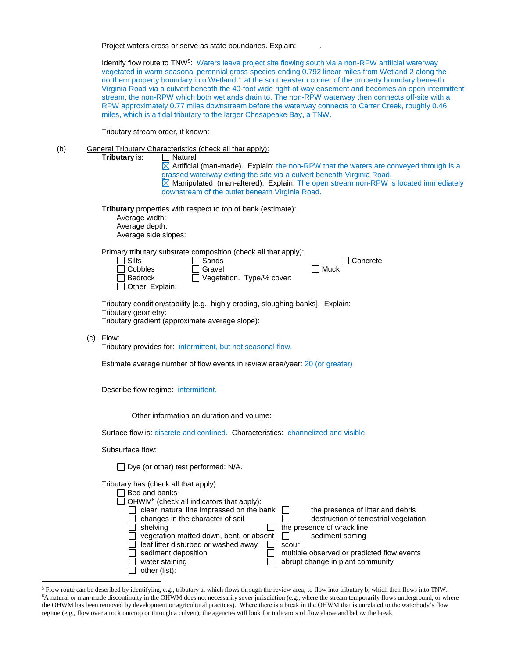Project waters cross or serve as state boundaries. Explain: .

Identify flow route to TNW<sup>5</sup>: Waters leave project site flowing south via a non-RPW artificial waterway vegetated in warm seasonal perennial grass species ending 0.792 linear miles from Wetland 2 along the northern property boundary into Wetland 1 at the southeastern corner of the property boundary beneath Virginia Road via a culvert beneath the 40-foot wide right-of-way easement and becomes an open intermittent stream, the non-RPW which both wetlands drain to. The non-RPW waterway then connects off-site with a RPW approximately 0.77 miles downstream before the waterway connects to Carter Creek, roughly 0.46 miles, which is a tidal tributary to the larger Chesapeake Bay, a TNW.

Tributary stream order, if known:

(b) General Tributary Characteristics (check all that apply):

**Tributary** is: □ Natural

 $\boxtimes$  Artificial (man-made). Explain: the non-RPW that the waters are conveyed through is a grassed waterway exiting the site via a culvert beneath Virginia Road.  $\overline{\boxtimes}$  Manipulated (man-altered). Explain: The open stream non-RPW is located immediately downstream of the outlet beneath Virginia Road.

**Tributary** properties with respect to top of bank (estimate):

Average width: Average depth: Average side slopes:

Primary tributary substrate composition (check all that apply):

| $\Box$ Silts      | $\Box$ Sands              | $\Box$ Concrete |
|-------------------|---------------------------|-----------------|
| $\Box$ Cobbles    | <b>□ Gravel</b>           | <b>Nuck</b>     |
| $\Box$ Bedrock    | Vegetation. Type/% cover: |                 |
| □ Other. Explain: |                           |                 |

Tributary condition/stability [e.g., highly eroding, sloughing banks]. Explain: Tributary geometry: Tributary gradient (approximate average slope):

(c) Flow:

 $\overline{a}$ 

Tributary provides for: intermittent, but not seasonal flow.

Estimate average number of flow events in review area/year: 20 (or greater)

Describe flow regime: intermittent.

Other information on duration and volume:

Surface flow is: discrete and confined. Characteristics: channelized and visible.

Subsurface flow:

 $\Box$  Dye (or other) test performed: N/A.

Tributary has (check all that apply):

| Bed and banks                                               |                                            |
|-------------------------------------------------------------|--------------------------------------------|
| $\Box$ OHWM <sup>6</sup> (check all indicators that apply): |                                            |
| clear, natural line impressed on the bank                   | the presence of litter and debris          |
| changes in the character of soil                            | destruction of terrestrial vegetation      |
| shelvina                                                    | the presence of wrack line                 |
| vegetation matted down, bent, or absent                     | sediment sorting                           |
| leaf litter disturbed or washed away                        | scour                                      |
| sediment deposition                                         | multiple observed or predicted flow events |
| water staining                                              | abrupt change in plant community           |
| other (list):                                               |                                            |

<sup>5</sup> Flow route can be described by identifying, e.g., tributary a, which flows through the review area, to flow into tributary b, which then flows into TNW. <sup>6</sup>A natural or man-made discontinuity in the OHWM does not necessarily sever jurisdiction (e.g., where the stream temporarily flows underground, or where the OHWM has been removed by development or agricultural practices). Where there is a break in the OHWM that is unrelated to the waterbody's flow regime (e.g., flow over a rock outcrop or through a culvert), the agencies will look for indicators of flow above and below the break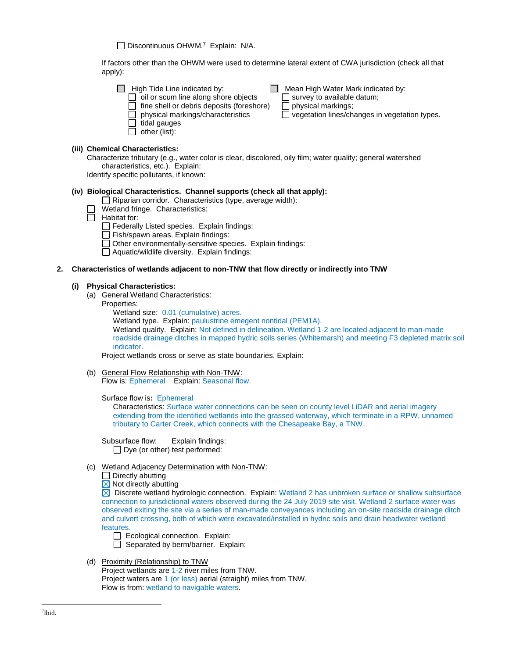Discontinuous OHWM.<sup>7</sup> Explain: N/A.

If factors other than the OHWM were used to determine lateral extent of CWA jurisdiction (check all that apply):

 $\Box$  Mean High Water Mark indicated by:<br> $\Box$  survey to available datum;  $\Box$  oil or scum line along shore objects  $\Box$  survey to available  $\Box$  fine shell or debris deposits (foreshore)  $\Box$  physical markings;  $\Box$  fine shell or debris deposits (foreshore)<br> $\Box$  physical markings/characteristics

 $\overline{\Box}$  vegetation lines/changes in vegetation types.

# **(iii) Chemical Characteristics:**

Characterize tributary (e.g., water color is clear, discolored, oily film; water quality; general watershed characteristics, etc.). Explain:

Identify specific pollutants, if known:

 $\Box$  tidal gauges  $\Box$  other (list):

# **(iv) Biological Characteristics. Channel supports (check all that apply):**

- $\Box$  Riparian corridor. Characteristics (type, average width):
- Wetland fringe. Characteristics:
- $\Box$  Habitat for:
	- $\Box$  Federally Listed species. Explain findings:
	- $\Box$  Fish/spawn areas. Explain findings:
	- $\Box$  Other environmentally-sensitive species. Explain findings:
	- $\Box$  Aquatic/wildlife diversity. Explain findings:

#### **2. Characteristics of wetlands adjacent to non-TNW that flow directly or indirectly into TNW**

#### **(i) Physical Characteristics:**

- (a) General Wetland Characteristics:
	- Properties:
		- Wetland size: 0.01 (cumulative) acres.

Wetland type. Explain: paulustrine emegent nontidal (PEM1A).

Wetland quality. Explain: Not defined in delineation. Wetland 1-2 are located adjacent to man-made roadside drainage ditches in mapped hydric soils series (Whitemarsh) and meeting F3 depleted matrix soil indicator.

Project wetlands cross or serve as state boundaries. Explain:

(b) General Flow Relationship with Non-TNW: Flow is: Ephemeral Explain: Seasonal flow.

Surface flow is**:** Ephemeral

Characteristics: Surface water connections can be seen on county level LiDAR and aerial imagery extending from the identified wetlands into the grassed waterway, which terminate in a RPW, unnamed tributary to Carter Creek, which connects with the Chesapeake Bay, a TNW.

Subsurface flow:Explain findings:  $\Box$  Dve (or other) test performed:

- (c) Wetland Adjacency Determination with Non-TNW:
	- $\Box$  Directly abutting
	- $\boxtimes$  Not directly abutting

 $\boxtimes$  Discrete wetland hydrologic connection. Explain: Wetland 2 has unbroken surface or shallow subsurface connection to jurisdictional waters observed during the 24 July 2019 site visit. Wetland 2 surface water was observed exiting the site via a series of man-made conveyances including an on-site roadside drainage ditch and culvert crossing, both of which were excavated/installed in hydric soils and drain headwater wetland features.

- $\Box$  Ecological connection. Explain:
- $\Box$  Separated by berm/barrier. Explain:
- (d) Proximity (Relationship) to TNW Project wetlands are 1-2 river miles from TNW. Project waters are 1 (or less) aerial (straight) miles from TNW. Flow is from: wetland to navigable waters.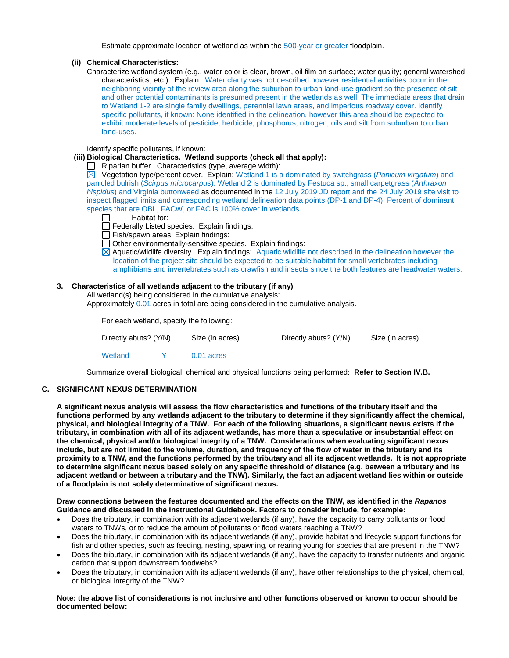Estimate approximate location of wetland as within the 500-year or greater floodplain.

#### **(ii) Chemical Characteristics:**

Characterize wetland system (e.g., water color is clear, brown, oil film on surface; water quality; general watershed characteristics; etc.). Explain: Water clarity was not described however residential activities occur in the neighboring vicinity of the review area along the suburban to urban land-use gradient so the presence of silt and other potential contaminants is presumed present in the wetlands as well. The immediate areas that drain to Wetland 1-2 are single family dwellings, perennial lawn areas, and imperious roadway cover. Identify specific pollutants, if known: None identified in the delineation, however this area should be expected to exhibit moderate levels of pesticide, herbicide, phosphorus, nitrogen, oils and silt from suburban to urban land-uses.

Identify specific pollutants, if known:

#### **(iii) Biological Characteristics. Wetland supports (check all that apply):**

 $\Box$  Riparian buffer. Characteristics (type, average width):

 $\overline{\boxtimes}$ Vegetation type/percent cover. Explain: Wetland 1 is a dominated by switchgrass (*Panicum virgatum*) and panicled bulrish (*Scirpus microcarpus*). Wetland 2 is dominated by Festuca sp., small carpetgrass (*Arthraxon hispidus*) and Virginia buttonweed as documented in the 12 July 2019 JD report and the 24 July 2019 site visit to inspect flagged limits and corresponding wetland delineation data points (DP-1 and DP-4). Percent of dominant species that are OBL, FACW, or FAC is 100% cover in wetlands.

- П Habitat for:
- $\Box$  Federally Listed species. Explain findings:
- $\Box$  Fish/spawn areas. Explain findings:
- $\Box$  Other environmentally-sensitive species. Explain findings:
- $\boxtimes$  Aquatic/wildlife diversity. Explain findings: Aquatic wildlife not described in the delineation however the location of the project site should be expected to be suitable habitat for small vertebrates including amphibians and invertebrates such as crawfish and insects since the both features are headwater waters.

# **3. Characteristics of all wetlands adjacent to the tributary (if any)**

All wetland(s) being considered in the cumulative analysis:

Approximately 0.01 acres in total are being considered in the cumulative analysis.

For each wetland, specify the following:

| Directly abuts? (Y/N) |  | Size (in acres) | Directly abuts? (Y/N) | Size (in acres) |
|-----------------------|--|-----------------|-----------------------|-----------------|
| Wetland               |  | $0.01$ acres    |                       |                 |

Summarize overall biological, chemical and physical functions being performed: **Refer to Section IV.B.**

# **C. SIGNIFICANT NEXUS DETERMINATION**

**A significant nexus analysis will assess the flow characteristics and functions of the tributary itself and the functions performed by any wetlands adjacent to the tributary to determine if they significantly affect the chemical, physical, and biological integrity of a TNW. For each of the following situations, a significant nexus exists if the tributary, in combination with all of its adjacent wetlands, has more than a speculative or insubstantial effect on the chemical, physical and/or biological integrity of a TNW. Considerations when evaluating significant nexus include, but are not limited to the volume, duration, and frequency of the flow of water in the tributary and its proximity to a TNW, and the functions performed by the tributary and all its adjacent wetlands. It is not appropriate to determine significant nexus based solely on any specific threshold of distance (e.g. between a tributary and its adjacent wetland or between a tributary and the TNW). Similarly, the fact an adjacent wetland lies within or outside of a floodplain is not solely determinative of significant nexus.** 

#### **Draw connections between the features documented and the effects on the TNW, as identified in the** *Rapanos* **Guidance and discussed in the Instructional Guidebook. Factors to consider include, for example:**

- Does the tributary, in combination with its adjacent wetlands (if any), have the capacity to carry pollutants or flood waters to TNWs, or to reduce the amount of pollutants or flood waters reaching a TNW?
- Does the tributary, in combination with its adjacent wetlands (if any), provide habitat and lifecycle support functions for fish and other species, such as feeding, nesting, spawning, or rearing young for species that are present in the TNW?
- Does the tributary, in combination with its adjacent wetlands (if any), have the capacity to transfer nutrients and organic carbon that support downstream foodwebs?
- Does the tributary, in combination with its adjacent wetlands (if any), have other relationships to the physical, chemical, or biological integrity of the TNW?

#### **Note: the above list of considerations is not inclusive and other functions observed or known to occur should be documented below:**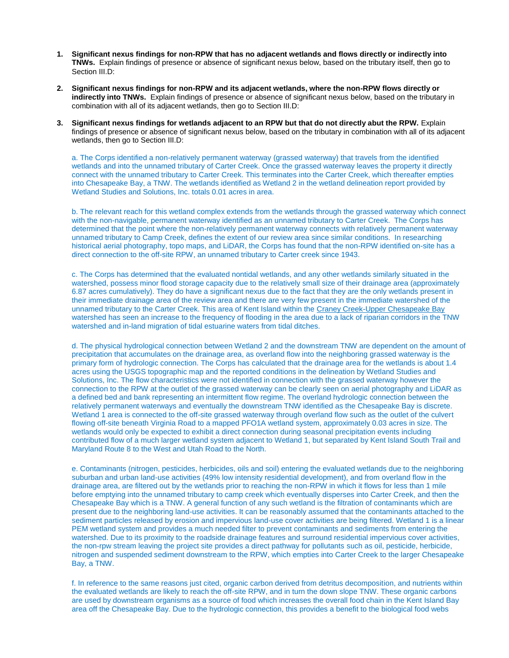- **1. Significant nexus findings for non-RPW that has no adjacent wetlands and flows directly or indirectly into TNWs.** Explain findings of presence or absence of significant nexus below, based on the tributary itself, then go to Section III.D:
- **2. Significant nexus findings for non-RPW and its adjacent wetlands, where the non-RPW flows directly or indirectly into TNWs.** Explain findings of presence or absence of significant nexus below, based on the tributary in combination with all of its adjacent wetlands, then go to Section III.D:
- **3. Significant nexus findings for wetlands adjacent to an RPW but that do not directly abut the RPW.** Explain findings of presence or absence of significant nexus below, based on the tributary in combination with all of its adjacent wetlands, then go to Section III.D:

a. The Corps identified a non-relatively permanent waterway (grassed waterway) that travels from the identified wetlands and into the unnamed tributary of Carter Creek. Once the grassed waterway leaves the property it directly connect with the unnamed tributary to Carter Creek. This terminates into the Carter Creek, which thereafter empties into Chesapeake Bay, a TNW. The wetlands identified as Wetland 2 in the wetland delineation report provided by Wetland Studies and Solutions, Inc. totals 0.01 acres in area.

b. The relevant reach for this wetland complex extends from the wetlands through the grassed waterway which connect with the non-navigable, permanent waterway identified as an unnamed tributary to Carter Creek. The Corps has determined that the point where the non-relatively permanent waterway connects with relatively permanent waterway unnamed tributary to Camp Creek, defines the extent of our review area since similar conditions. In researching historical aerial photography, topo maps, and LiDAR, the Corps has found that the non-RPW identified on-site has a direct connection to the off-site RPW, an unnamed tributary to Carter creek since 1943.

c. The Corps has determined that the evaluated nontidal wetlands, and any other wetlands similarly situated in the watershed, possess minor flood storage capacity due to the relatively small size of their drainage area (approximately 6.87 acres cumulatively). They do have a significant nexus due to the fact that they are the only wetlands present in their immediate drainage area of the review area and there are very few present in the immediate watershed of the unnamed tributary to the Carter Creek. This area of Kent Island within the [Craney Creek-Upper Chesapeake Bay](https://watersgeo.epa.gov/watershedreport/?reachcode=02060002001021&measure=61.709979999999995) watershed has seen an increase to the frequency of flooding in the area due to a lack of riparian corridors in the TNW watershed and in-land migration of tidal estuarine waters from tidal ditches.

d. The physical hydrological connection between Wetland 2 and the downstream TNW are dependent on the amount of precipitation that accumulates on the drainage area, as overland flow into the neighboring grassed waterway is the primary form of hydrologic connection. The Corps has calculated that the drainage area for the wetlands is about 1.4 acres using the USGS topographic map and the reported conditions in the delineation by Wetland Studies and Solutions, Inc. The flow characteristics were not identified in connection with the grassed waterway however the connection to the RPW at the outlet of the grassed waterway can be clearly seen on aerial photography and LiDAR as a defined bed and bank representing an intermittent flow regime. The overland hydrologic connection between the relatively permanent waterways and eventually the downstream TNW identified as the Chesapeake Bay is discrete. Wetland 1 area is connected to the off-site grassed waterway through overland flow such as the outlet of the culvert flowing off-site beneath Virginia Road to a mapped PFO1A wetland system, approximately 0.03 acres in size. The wetlands would only be expected to exhibit a direct connection during seasonal precipitation events including contributed flow of a much larger wetland system adjacent to Wetland 1, but separated by Kent Island South Trail and Maryland Route 8 to the West and Utah Road to the North.

e. Contaminants (nitrogen, pesticides, herbicides, oils and soil) entering the evaluated wetlands due to the neighboring suburban and urban land-use activities (49% low intensity residential development), and from overland flow in the drainage area, are filtered out by the wetlands prior to reaching the non-RPW in which it flows for less than 1 mile before emptying into the unnamed tributary to camp creek which eventually disperses into Carter Creek, and then the Chesapeake Bay which is a TNW. A general function of any such wetland is the filtration of contaminants which are present due to the neighboring land-use activities. It can be reasonably assumed that the contaminants attached to the sediment particles released by erosion and impervious land-use cover activities are being filtered. Wetland 1 is a linear PEM wetland system and provides a much needed filter to prevent contaminants and sediments from entering the watershed. Due to its proximity to the roadside drainage features and surround residential impervious cover activities, the non-rpw stream leaving the project site provides a direct pathway for pollutants such as oil, pesticide, herbicide, nitrogen and suspended sediment downstream to the RPW, which empties into Carter Creek to the larger Chesapeake Bay, a TNW.

f. In reference to the same reasons just cited, organic carbon derived from detritus decomposition, and nutrients within the evaluated wetlands are likely to reach the off-site RPW, and in turn the down slope TNW. These organic carbons are used by downstream organisms as a source of food which increases the overall food chain in the Kent Island Bay area off the Chesapeake Bay. Due to the hydrologic connection, this provides a benefit to the biological food webs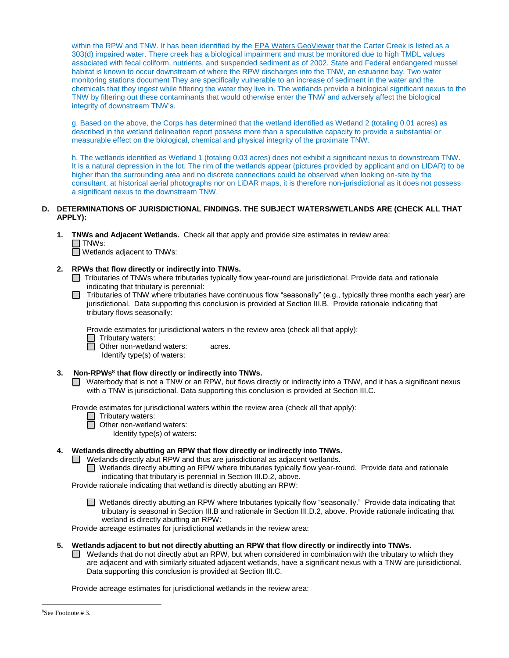within the RPW and TNW. It has been identified by the [EPA Waters GeoViewer](http://ofmpub.epa.gov/waters10/attains_waterbody.control?p_list_id=MD-02130511-T&p_report_type=T&p_cycle=2002) that the Carter Creek is listed as a 303(d) impaired water. There creek has a biological impairment and must be monitored due to high TMDL values associated with fecal coliform, nutrients, and suspended sediment as of 2002. State and Federal endangered mussel habitat is known to occur downstream of where the RPW discharges into the TNW, an estuarine bay. Two water monitoring stations document They are specifically vulnerable to an increase of sediment in the water and the chemicals that they ingest while filtering the water they live in. The wetlands provide a biological significant nexus to the TNW by filtering out these contaminants that would otherwise enter the TNW and adversely affect the biological integrity of downstream TNW's.

g. Based on the above, the Corps has determined that the wetland identified as Wetland 2 (totaling 0.01 acres) as described in the wetland delineation report possess more than a speculative capacity to provide a substantial or measurable effect on the biological, chemical and physical integrity of the proximate TNW.

h. The wetlands identified as Wetland 1 (totaling 0.03 acres) does not exhibit a significant nexus to downstream TNW. It is a natural depression in the lot. The rim of the wetlands appear (pictures provided by applicant and on LIDAR) to be higher than the surrounding area and no discrete connections could be observed when looking on-site by the consultant, at historical aerial photographs nor on LiDAR maps, it is therefore non-jurisdictional as it does not possess a significant nexus to the downstream TNW.

# **D. DETERMINATIONS OF JURISDICTIONAL FINDINGS. THE SUBJECT WATERS/WETLANDS ARE (CHECK ALL THAT APPLY):**

**1. TNWs and Adjacent Wetlands.** Check all that apply and provide size estimates in review area:  $\Box$  TNWs:

 $\Box$  Wetlands adjacent to TNWs:

# **2. RPWs that flow directly or indirectly into TNWs.**

- □ Tributaries of TNWs where tributaries typically flow year-round are jurisdictional. Provide data and rationale indicating that tributary is perennial:
- Tributaries of TNW where tributaries have continuous flow "seasonally" (e.g., typically three months each year) are jurisdictional. Data supporting this conclusion is provided at Section III.B. Provide rationale indicating that tributary flows seasonally:

Provide estimates for jurisdictional waters in the review area (check all that apply):

Tributary waters:

**Other non-wetland waters: acres.** 

Identify type(s) of waters:

# **3. Non-RPWs<sup>8</sup> that flow directly or indirectly into TNWs.**

Waterbody that is not a TNW or an RPW, but flows directly or indirectly into a TNW, and it has a significant nexus with a TNW is jurisdictional. Data supporting this conclusion is provided at Section III.C.

Provide estimates for jurisdictional waters within the review area (check all that apply):

□ Tributary waters:

 $\overline{\Box}$  Other non-wetland waters:

Identify type(s) of waters:

# **4. Wetlands directly abutting an RPW that flow directly or indirectly into TNWs.**

- $\Box$  Wetlands directly abut RPW and thus are jurisdictional as adjacent wetlands.
	- Wetlands directly abutting an RPW where tributaries typically flow year-round. Provide data and rationale indicating that tributary is perennial in Section III.D.2, above.

Provide rationale indicating that wetland is directly abutting an RPW:

Wetlands directly abutting an RPW where tributaries typically flow "seasonally." Provide data indicating that tributary is seasonal in Section III.B and rationale in Section III.D.2, above. Provide rationale indicating that wetland is directly abutting an RPW:

Provide acreage estimates for jurisdictional wetlands in the review area:

# **5. Wetlands adjacent to but not directly abutting an RPW that flow directly or indirectly into TNWs.**

 $\Box$  Wetlands that do not directly abut an RPW, but when considered in combination with the tributary to which they are adjacent and with similarly situated adjacent wetlands, have a significant nexus with a TNW are jurisidictional. Data supporting this conclusion is provided at Section III.C.

Provide acreage estimates for jurisdictional wetlands in the review area:

 $\overline{a}$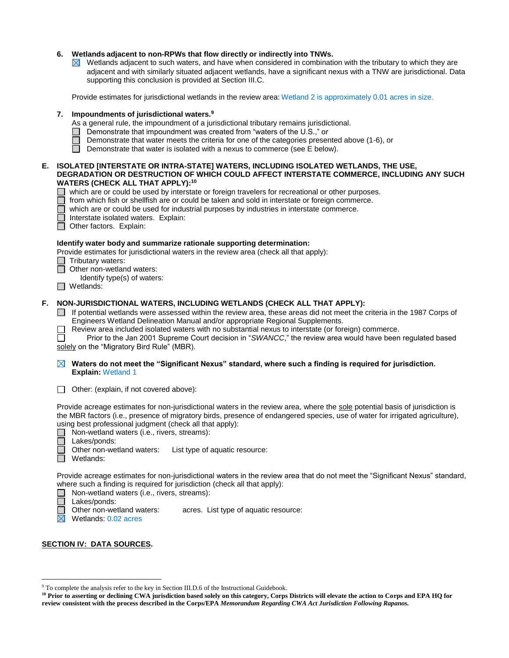# **6. Wetlands adjacent to non-RPWs that flow directly or indirectly into TNWs.**

 $\boxtimes$  Wetlands adjacent to such waters, and have when considered in combination with the tributary to which they are adjacent and with similarly situated adjacent wetlands, have a significant nexus with a TNW are jurisdictional. Data supporting this conclusion is provided at Section III.C.

Provide estimates for jurisdictional wetlands in the review area: Wetland 2 is approximately 0.01 acres in size.

# **7. Impoundments of jurisdictional waters.<sup>9</sup>**

- As a general rule, the impoundment of a jurisdictional tributary remains jurisdictional.
- $\Box$  Demonstrate that impoundment was created from "waters of the U.S.," or
- Demonstrate that water meets the criteria for one of the categories presented above (1-6), or
- $\Box$ Demonstrate that water is isolated with a nexus to commerce (see E below).

#### **E. ISOLATED [INTERSTATE OR INTRA-STATE] WATERS, INCLUDING ISOLATED WETLANDS, THE USE, DEGRADATION OR DESTRUCTION OF WHICH COULD AFFECT INTERSTATE COMMERCE, INCLUDING ANY SUCH WATERS (CHECK ALL THAT APPLY):<sup>10</sup>**

 $\Box$  which are or could be used by interstate or foreign travelers for recreational or other purposes.

- from which fish or shellfish are or could be taken and sold in interstate or foreign commerce.
- П which are or could be used for industrial purposes by industries in interstate commerce.
- П Interstate isolated waters.Explain:
- Other factors. Explain:

#### **Identify water body and summarize rationale supporting determination:**

Provide estimates for jurisdictional waters in the review area (check all that apply):

- Tributary waters:
- **Other non-wetland waters:** ┌─
	- Identify type(s) of waters:
- Wetlands:

# **F. NON-JURISDICTIONAL WATERS, INCLUDING WETLANDS (CHECK ALL THAT APPLY):**

- $\Box$  If potential wetlands were assessed within the review area, these areas did not meet the criteria in the 1987 Corps of Engineers Wetland Delineation Manual and/or appropriate Regional Supplements.
	- Review area included isolated waters with no substantial nexus to interstate (or foreign) commerce.

Prior to the Jan 2001 Supreme Court decision in "*SWANCC*," the review area would have been regulated based solely on the "Migratory Bird Rule" (MBR).

# **Waters do not meet the "Significant Nexus" standard, where such a finding is required for jurisdiction. Explain:** Wetland 1

Other: (explain, if not covered above):

Provide acreage estimates for non-jurisdictional waters in the review area, where the sole potential basis of jurisdiction is the MBR factors (i.e., presence of migratory birds, presence of endangered species, use of water for irrigated agriculture), using best professional judgment (check all that apply):<br>  $\Box$  Non-wetland waters (i.e., rivers, streams):

- □ Non-wetland waters (i.e., rivers, streams):<br>□ Lakes/ponds:
	- Lakes/ponds:

Other non-wetland waters: List type of aquatic resource:

Wetlands: П

Provide acreage estimates for non-jurisdictional waters in the review area that do not meet the "Significant Nexus" standard, where such a finding is required for jurisdiction (check all that apply):

 $\Box$  Non-wetland waters (i.e., rivers, streams):

 $\Box$ Lakes/ponds:

Other non-wetland waters: acres. List type of aquatic resource:

 $\overline{\boxtimes}$  Wetlands: 0.02 acres

# **SECTION IV: DATA SOURCES.**

 $\overline{a}$ <sup>9</sup> To complete the analysis refer to the key in Section III.D.6 of the Instructional Guidebook.

**<sup>10</sup> Prior to asserting or declining CWA jurisdiction based solely on this category, Corps Districts will elevate the action to Corps and EPA HQ for review consistent with the process described in the Corps/EPA** *Memorandum Regarding CWA Act Jurisdiction Following Rapanos.*